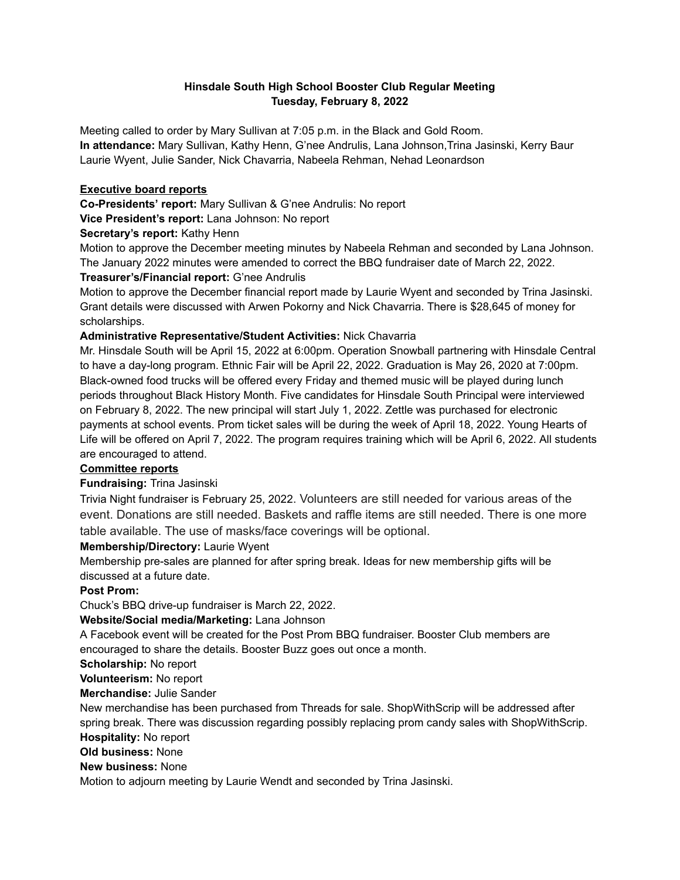## **Hinsdale South High School Booster Club Regular Meeting Tuesday, February 8, 2022**

Meeting called to order by Mary Sullivan at 7:05 p.m. in the Black and Gold Room. **In attendance:** Mary Sullivan, Kathy Henn, G'nee Andrulis, Lana Johnson,Trina Jasinski, Kerry Baur Laurie Wyent, Julie Sander, Nick Chavarria, Nabeela Rehman, Nehad Leonardson

### **Executive board reports**

**Co-Presidents' report:** Mary Sullivan & G'nee Andrulis: No report

**Vice President's report:** Lana Johnson: No report

### **Secretary's report:** Kathy Henn

Motion to approve the December meeting minutes by Nabeela Rehman and seconded by Lana Johnson. The January 2022 minutes were amended to correct the BBQ fundraiser date of March 22, 2022.

# **Treasurer's/Financial report:** G'nee Andrulis

Motion to approve the December financial report made by Laurie Wyent and seconded by Trina Jasinski. Grant details were discussed with Arwen Pokorny and Nick Chavarria. There is \$28,645 of money for scholarships.

### **Administrative Representative/Student Activities:** Nick Chavarria

Mr. Hinsdale South will be April 15, 2022 at 6:00pm. Operation Snowball partnering with Hinsdale Central to have a day-long program. Ethnic Fair will be April 22, 2022. Graduation is May 26, 2020 at 7:00pm. Black-owned food trucks will be offered every Friday and themed music will be played during lunch periods throughout Black History Month. Five candidates for Hinsdale South Principal were interviewed on February 8, 2022. The new principal will start July 1, 2022. Zettle was purchased for electronic payments at school events. Prom ticket sales will be during the week of April 18, 2022. Young Hearts of Life will be offered on April 7, 2022. The program requires training which will be April 6, 2022. All students are encouraged to attend.

#### **Committee reports**

# **Fundraising:** Trina Jasinski

Trivia Night fundraiser is February 25, 2022. Volunteers are still needed for various areas of the event. Donations are still needed. Baskets and raffle items are still needed. There is one more table available. The use of masks/face coverings will be optional.

#### **Membership/Directory:** Laurie Wyent

Membership pre-sales are planned for after spring break. Ideas for new membership gifts will be discussed at a future date.

# **Post Prom:**

Chuck's BBQ drive-up fundraiser is March 22, 2022.

#### **Website/Social media/Marketing:** Lana Johnson

A Facebook event will be created for the Post Prom BBQ fundraiser. Booster Club members are encouraged to share the details. Booster Buzz goes out once a month.

**Scholarship:** No report

**Volunteerism:** No report

# **Merchandise:** Julie Sander

New merchandise has been purchased from Threads for sale. ShopWithScrip will be addressed after spring break. There was discussion regarding possibly replacing prom candy sales with ShopWithScrip.

**Hospitality:** No report

**Old business:** None

## **New business:** None

Motion to adjourn meeting by Laurie Wendt and seconded by Trina Jasinski.